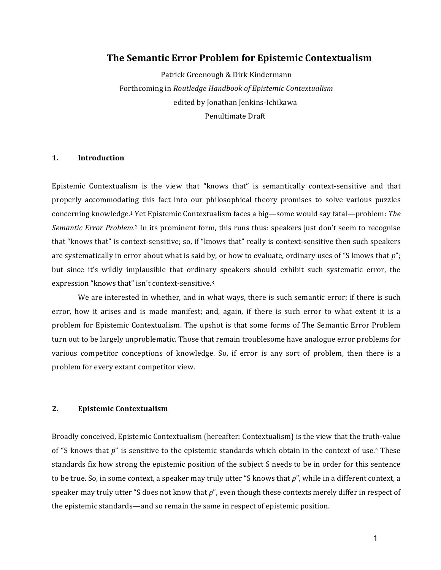# **The Semantic Error Problem for Epistemic Contextualism**

Patrick Greenough & Dirk Kindermann Forthcoming in *Routledge Handbook of Epistemic Contextualism* edited by Jonathan Jenkins-Ichikawa Penultimate Draft

## **1. Introduction**

Epistemic Contextualism is the view that "knows that" is semantically context-sensitive and that properly accommodating this fact into our philosophical theory promises to solve various puzzles concerning knowledge.<sup>1</sup> Yet Epistemic Contextualism faces a big—some would say fatal—problem: The Semantic Error Problem.<sup>2</sup> In its prominent form, this runs thus: speakers just don't seem to recognise that "knows that" is context-sensitive; so, if "knows that" really is context-sensitive then such speakers are systematically in error about what is said by, or how to evaluate, ordinary uses of "S knows that  $p$ "; but since it's wildly implausible that ordinary speakers should exhibit such systematic error, the expression "knows that" isn't context-sensitive.<sup>3</sup>

We are interested in whether, and in what ways, there is such semantic error; if there is such error, how it arises and is made manifest; and, again, if there is such error to what extent it is a problem for Epistemic Contextualism. The upshot is that some forms of The Semantic Error Problem turn out to be largely unproblematic. Those that remain troublesome have analogue error problems for various competitor conceptions of knowledge. So, if error is any sort of problem, then there is a problem for every extant competitor view.

## **2. Epistemic Contextualism**

Broadly conceived, Epistemic Contextualism (hereafter: Contextualism) is the view that the truth-value of "S knows that p" is sensitive to the epistemic standards which obtain in the context of use.<sup>4</sup> These standards fix how strong the epistemic position of the subject S needs to be in order for this sentence to be true. So, in some context, a speaker may truly utter "S knows that p", while in a different context, a speaker may truly utter "S does not know that p", even though these contexts merely differ in respect of the epistemic standards—and so remain the same in respect of epistemic position.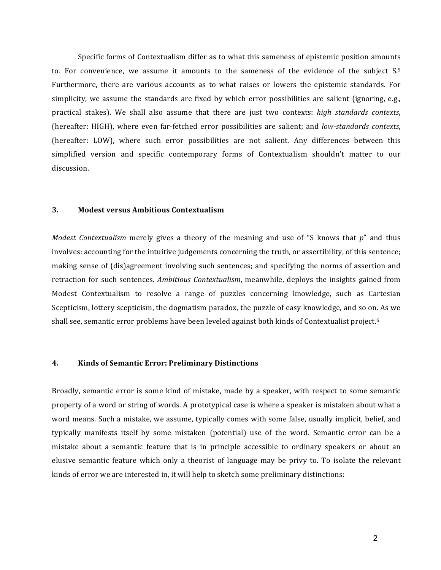Specific forms of Contextualism differ as to what this sameness of epistemic position amounts to. For convenience, we assume it amounts to the sameness of the evidence of the subject S.<sup>5</sup> Furthermore, there are various accounts as to what raises or lowers the epistemic standards. For simplicity, we assume the standards are fixed by which error possibilities are salient (ignoring, e.g., practical stakes). We shall also assume that there are just two contexts: *high standards contexts*, (hereafter: HIGH), where even far-fetched error possibilities are salient; and *low-standards contexts*, (hereafter: LOW), where such error possibilities are not salient. Any differences between this simplified version and specific contemporary forms of Contextualism shouldn't matter to our discussion.

## **3. Modest versus Ambitious Contextualism**

*Modest Contextualism* merely gives a theory of the meaning and use of "S knows that  $p$ " and thus involves: accounting for the intuitive judgements concerning the truth, or assertibility, of this sentence; making sense of (dis)agreement involving such sentences; and specifying the norms of assertion and retraction for such sentences. *Ambitious Contextualism*, meanwhile, deploys the insights gained from Modest Contextualism to resolve a range of puzzles concerning knowledge, such as Cartesian Scepticism, lottery scepticism, the dogmatism paradox, the puzzle of easy knowledge, and so on. As we shall see, semantic error problems have been leveled against both kinds of Contextualist project.<sup>6</sup>

#### **4. Kinds of Semantic Error: Preliminary Distinctions**

Broadly, semantic error is some kind of mistake, made by a speaker, with respect to some semantic property of a word or string of words. A prototypical case is where a speaker is mistaken about what a word means. Such a mistake, we assume, typically comes with some false, usually implicit, belief, and typically manifests itself by some mistaken (potential) use of the word. Semantic error can be a mistake about a semantic feature that is in principle accessible to ordinary speakers or about an elusive semantic feature which only a theorist of language may be privy to. To isolate the relevant kinds of error we are interested in, it will help to sketch some preliminary distinctions: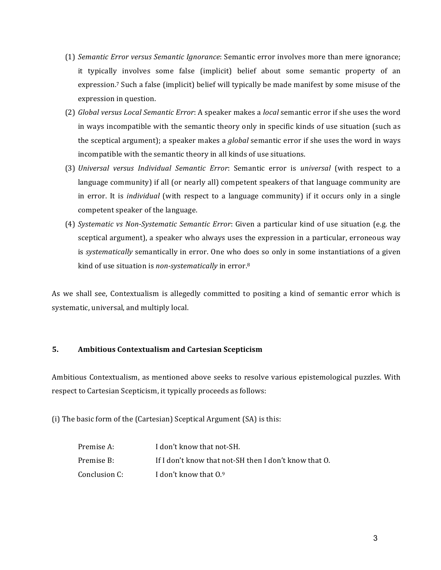- (1) *Semantic Error versus Semantic Ignorance*: Semantic error involves more than mere ignorance; it typically involves some false (implicit) belief about some semantic property of an expression.<sup>7</sup> Such a false (implicit) belief will typically be made manifest by some misuse of the expression in question.
- (2) *Global versus Local Semantic Error*: A speaker makes a *local* semantic error if she uses the word in ways incompatible with the semantic theory only in specific kinds of use situation (such as the sceptical argument); a speaker makes a *global* semantic error if she uses the word in ways incompatible with the semantic theory in all kinds of use situations.
- (3) *Universal versus Individual Semantic Error*: Semantic error is *universal* (with respect to a language community) if all (or nearly all) competent speakers of that language community are in error. It is *individual* (with respect to a language community) if it occurs only in a single competent speaker of the language.
- (4) *Systematic vs Non-Systematic Semantic Error*: Given a particular kind of use situation (e.g. the sceptical argument), a speaker who always uses the expression in a particular, erroneous way is *systematically* semantically in error. One who does so only in some instantiations of a given kind of use situation is *non-systematically* in error.<sup>8</sup>

As we shall see, Contextualism is allegedly committed to positing a kind of semantic error which is systematic, universal, and multiply local.

## **5. Ambitious Contextualism and Cartesian Scepticism**

Ambitious Contextualism, as mentioned above seeks to resolve various epistemological puzzles. With respect to Cartesian Scepticism, it typically proceeds as follows:

(i) The basic form of the  $(Cartesian)$  Sceptical Argument  $(SA)$  is this:

| Premise A:    | I don't know that not-SH.                             |
|---------------|-------------------------------------------------------|
| Premise B:    | If I don't know that not-SH then I don't know that O. |
| Conclusion C: | I don't know that $0.9$                               |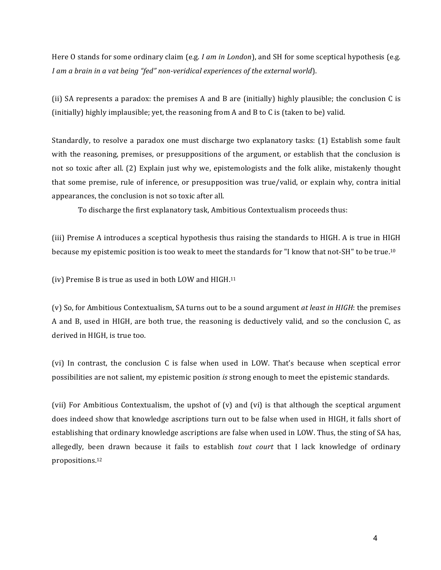Here O stands for some ordinary claim (e.g. *I am in London*), and SH for some sceptical hypothesis (e.g. *I* am a brain in a vat being "fed" non-veridical experiences of the external world).

(ii) SA represents a paradox: the premises A and B are (initially) highly plausible; the conclusion C is (initially) highly implausible; yet, the reasoning from A and B to C is (taken to be) valid.

Standardly, to resolve a paradox one must discharge two explanatory tasks: (1) Establish some fault with the reasoning, premises, or presuppositions of the argument, or establish that the conclusion is not so toxic after all. (2) Explain just why we, epistemologists and the folk alike, mistakenly thought that some premise, rule of inference, or presupposition was true/valid, or explain why, contra initial appearances, the conclusion is not so toxic after all.

To discharge the first explanatory task, Ambitious Contextualism proceeds thus:

(iii) Premise A introduces a sceptical hypothesis thus raising the standards to HIGH. A is true in HIGH because my epistemic position is too weak to meet the standards for "I know that not-SH" to be true.<sup>10</sup>

(iv) Premise B is true as used in both LOW and HIGH. $11$ 

(v) So, for Ambitious Contextualism, SA turns out to be a sound argument *at least in HIGH*: the premises A and B, used in HIGH, are both true, the reasoning is deductively valid, and so the conclusion C, as derived in HIGH, is true too.

(vi) In contrast, the conclusion C is false when used in LOW. That's because when sceptical error possibilities are not salient, my epistemic position *is* strong enough to meet the epistemic standards.

(vii) For Ambitious Contextualism, the upshot of  $(v)$  and  $(vi)$  is that although the sceptical argument does indeed show that knowledge ascriptions turn out to be false when used in HIGH, it falls short of establishing that ordinary knowledge ascriptions are false when used in LOW. Thus, the sting of SA has, allegedly, been drawn because it fails to establish *tout court* that I lack knowledge of ordinary propositions.12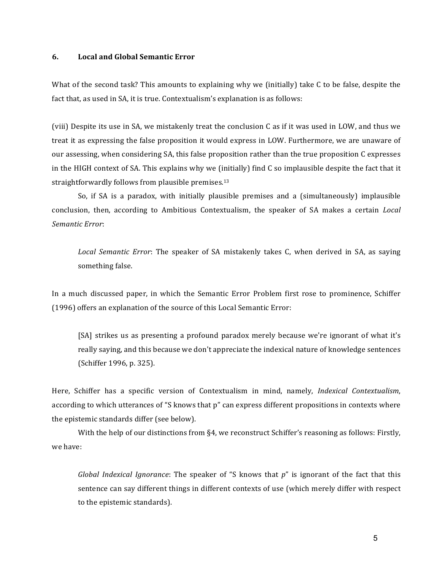## **6. Local and Global Semantic Error**

What of the second task? This amounts to explaining why we (initially) take C to be false, despite the fact that, as used in SA, it is true. Contextualism's explanation is as follows:

(viii) Despite its use in SA, we mistakenly treat the conclusion C as if it was used in LOW, and thus we treat it as expressing the false proposition it would express in LOW. Furthermore, we are unaware of our assessing, when considering SA, this false proposition rather than the true proposition C expresses in the HIGH context of SA. This explains why we (initially) find  $C$  so implausible despite the fact that it straightforwardly follows from plausible premises.<sup>13</sup>

So, if SA is a paradox, with initially plausible premises and a (simultaneously) implausible conclusion, then, according to Ambitious Contextualism, the speaker of SA makes a certain *Local Semantic Error*: 

Local Semantic Error: The speaker of SA mistakenly takes C, when derived in SA, as saying something false.

In a much discussed paper, in which the Semantic Error Problem first rose to prominence, Schiffer (1996) offers an explanation of the source of this Local Semantic Error:

[SA] strikes us as presenting a profound paradox merely because we're ignorant of what it's really saying, and this because we don't appreciate the indexical nature of knowledge sentences (Schiffer 1996, p. 325).

Here, Schiffer has a specific version of Contextualism in mind, namely, *Indexical Contextualism*, according to which utterances of "S knows that p" can express different propositions in contexts where the epistemic standards differ (see below).

With the help of our distinctions from  $\S4$ , we reconstruct Schiffer's reasoning as follows: Firstly, we have:

*Global Indexical Ignorance*: The speaker of "S knows that p" is ignorant of the fact that this sentence can say different things in different contexts of use (which merely differ with respect to the epistemic standards).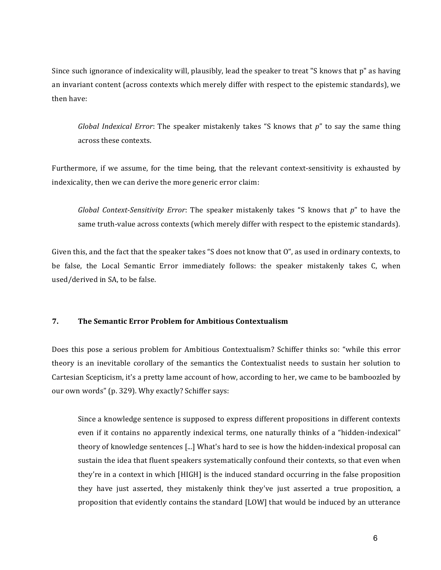Since such ignorance of indexicality will, plausibly, lead the speaker to treat "S knows that p" as having an invariant content (across contexts which merely differ with respect to the epistemic standards), we then have:

*Global Indexical Error*: The speaker mistakenly takes "S knows that p" to say the same thing across these contexts.

Furthermore, if we assume, for the time being, that the relevant context-sensitivity is exhausted by indexicality, then we can derive the more generic error claim:

*Global Context-Sensitivity Error*: The speaker mistakenly takes "S knows that p" to have the same truth-value across contexts (which merely differ with respect to the epistemic standards).

Given this, and the fact that the speaker takes "S does not know that O", as used in ordinary contexts, to be false, the Local Semantic Error immediately follows: the speaker mistakenly takes C, when used/derived in SA, to be false.

## **7. The Semantic Error Problem for Ambitious Contextualism**

Does this pose a serious problem for Ambitious Contextualism? Schiffer thinks so: "while this error theory is an inevitable corollary of the semantics the Contextualist needs to sustain her solution to Cartesian Scepticism, it's a pretty lame account of how, according to her, we came to be bamboozled by our own words" (p. 329). Why exactly? Schiffer says:

Since a knowledge sentence is supposed to express different propositions in different contexts even if it contains no apparently indexical terms, one naturally thinks of a "hidden-indexical" theory of knowledge sentences  $\left[\ldots\right]$  What's hard to see is how the hidden-indexical proposal can sustain the idea that fluent speakers systematically confound their contexts, so that even when they're in a context in which [HIGH] is the induced standard occurring in the false proposition they have just asserted, they mistakenly think they've just asserted a true proposition, a proposition that evidently contains the standard [LOW] that would be induced by an utterance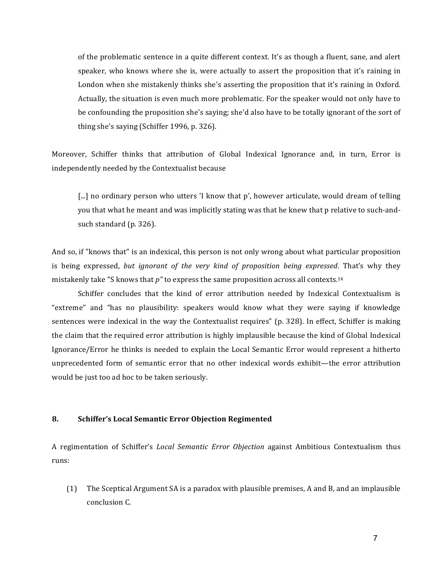of the problematic sentence in a quite different context. It's as though a fluent, sane, and alert speaker, who knows where she is, were actually to assert the proposition that it's raining in London when she mistakenly thinks she's asserting the proposition that it's raining in Oxford. Actually, the situation is even much more problematic. For the speaker would not only have to be confounding the proposition she's saying; she'd also have to be totally ignorant of the sort of thing she's saying (Schiffer 1996, p. 326).

Moreover, Schiffer thinks that attribution of Global Indexical Ignorance and, in turn, Error is independently needed by the Contextualist because

[...] no ordinary person who utters 'I know that p', however articulate, would dream of telling you that what he meant and was implicitly stating was that he knew that p relative to such-andsuch standard (p. 326).

And so, if "knows that" is an indexical, this person is not only wrong about what particular proposition is being expressed, *but ignorant of the very kind of proposition being expressed*. That's why they mistakenly take "S knows that p" to express the same proposition across all contexts.<sup>14</sup>

Schiffer concludes that the kind of error attribution needed by Indexical Contextualism is "extreme" and "has no plausibility: speakers would know what they were saying if knowledge sentences were indexical in the way the Contextualist requires" (p. 328). In effect, Schiffer is making the claim that the required error attribution is highly implausible because the kind of Global Indexical Ignorance/Error he thinks is needed to explain the Local Semantic Error would represent a hitherto unprecedented form of semantic error that no other indexical words exhibit—the error attribution would be just too ad hoc to be taken seriously.

#### **8. Schiffer's Local Semantic Error Objection Regimented**

A regimentation of Schiffer's *Local Semantic Error Objection* against Ambitious Contextualism thus runs:

(1) The Sceptical Argument SA is a paradox with plausible premises, A and B, and an implausible conclusion C.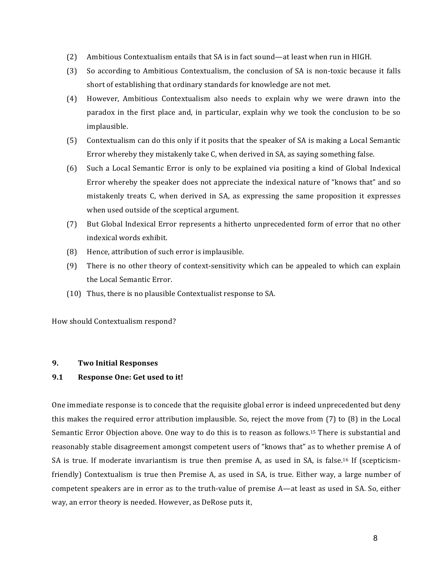- (2) Ambitious Contextualism entails that SA is in fact sound—at least when run in HIGH.
- (3) So according to Ambitious Contextualism, the conclusion of SA is non-toxic because it falls short of establishing that ordinary standards for knowledge are not met.
- (4) However, Ambitious Contextualism also needs to explain why we were drawn into the paradox in the first place and, in particular, explain why we took the conclusion to be so implausible.
- (5) Contextualism can do this only if it posits that the speaker of SA is making a Local Semantic Error whereby they mistakenly take C, when derived in SA, as saying something false.
- (6) Such a Local Semantic Error is only to be explained via positing a kind of Global Indexical Error whereby the speaker does not appreciate the indexical nature of "knows that" and so mistakenly treats C, when derived in SA, as expressing the same proposition it expresses when used outside of the sceptical argument.
- (7) But Global Indexical Error represents a hitherto unprecedented form of error that no other indexical words exhibit.
- (8) Hence, attribution of such error is implausible.
- (9) There is no other theory of context-sensitivity which can be appealed to which can explain the Local Semantic Error.
- (10) Thus, there is no plausible Contextualist response to SA.

How should Contextualism respond?

#### **9. Two Initial Responses**

## **9.1 Response One: Get used to it!**

One immediate response is to concede that the requisite global error is indeed unprecedented but deny this makes the required error attribution implausible. So, reject the move from  $(7)$  to  $(8)$  in the Local Semantic Error Objection above. One way to do this is to reason as follows.<sup>15</sup> There is substantial and reasonably stable disagreement amongst competent users of "knows that" as to whether premise A of SA is true. If moderate invariantism is true then premise A, as used in SA, is false.<sup>16</sup> If (scepticismfriendly) Contextualism is true then Premise A, as used in SA, is true. Either way, a large number of competent speakers are in error as to the truth-value of premise A—at least as used in SA. So, either way, an error theory is needed. However, as DeRose puts it,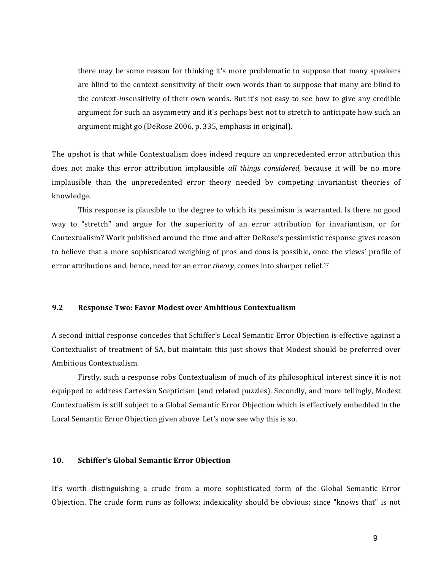there may be some reason for thinking it's more problematic to suppose that many speakers are blind to the context-sensitivity of their own words than to suppose that many are blind to the context-*insensitivity* of their own words. But it's not easy to see how to give any credible argument for such an asymmetry and it's perhaps best not to stretch to anticipate how such an argument might go (DeRose 2006, p. 335, emphasis in original).

The upshot is that while Contextualism does indeed require an unprecedented error attribution this does not make this error attribution implausible *all things considered*, because it will be no more implausible than the unprecedented error theory needed by competing invariantist theories of knowledge.

This response is plausible to the degree to which its pessimism is warranted. Is there no good way to "stretch" and argue for the superiority of an error attribution for invariantism, or for Contextualism? Work published around the time and after DeRose's pessimistic response gives reason to believe that a more sophisticated weighing of pros and cons is possible, once the views' profile of error attributions and, hence, need for an error *theory*, comes into sharper relief.<sup>17</sup>

## **9.2 Response Two: Favor Modest over Ambitious Contextualism**

A second initial response concedes that Schiffer's Local Semantic Error Objection is effective against a Contextualist of treatment of SA, but maintain this just shows that Modest should be preferred over Ambitious Contextualism. 

Firstly, such a response robs Contextualism of much of its philosophical interest since it is not equipped to address Cartesian Scepticism (and related puzzles). Secondly, and more tellingly, Modest Contextualism is still subject to a Global Semantic Error Objection which is effectively embedded in the Local Semantic Error Objection given above. Let's now see why this is so.

## **10. Schiffer's Global Semantic Error Objection**

It's worth distinguishing a crude from a more sophisticated form of the Global Semantic Error Objection. The crude form runs as follows: indexicality should be obvious; since "knows that" is not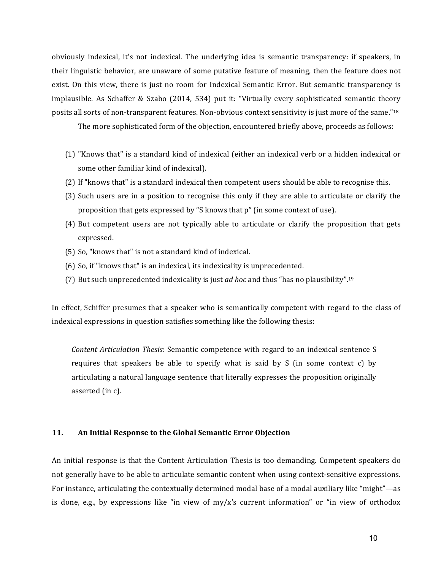obviously indexical, it's not indexical. The underlying idea is semantic transparency: if speakers, in their linguistic behavior, are unaware of some putative feature of meaning, then the feature does not exist. On this view, there is just no room for Indexical Semantic Error. But semantic transparency is implausible. As Schaffer & Szabo (2014, 534) put it: "Virtually every sophisticated semantic theory posits all sorts of non-transparent features. Non-obvious context sensitivity is just more of the same."<sup>18</sup>

The more sophisticated form of the objection, encountered briefly above, proceeds as follows:

- (1) "Knows that" is a standard kind of indexical (either an indexical verb or a hidden indexical or some other familiar kind of indexical).
- (2) If "knows that" is a standard indexical then competent users should be able to recognise this.
- (3) Such users are in a position to recognise this only if they are able to articulate or clarify the proposition that gets expressed by "S knows that p" (in some context of use).
- (4) But competent users are not typically able to articulate or clarify the proposition that gets expressed.
- (5) So, "knows that" is not a standard kind of indexical.
- $(6)$  So, if "knows that" is an indexical, its indexicality is unprecedented.
- (7) But such unprecedented indexicality is just *ad hoc* and thus "has no plausibility".<sup>19</sup>

In effect, Schiffer presumes that a speaker who is semantically competent with regard to the class of indexical expressions in question satisfies something like the following thesis:

*Content Articulation Thesis:* Semantic competence with regard to an indexical sentence S requires that speakers be able to specify what is said by S (in some context c) by articulating a natural language sentence that literally expresses the proposition originally asserted (in c).

## **11. An Initial Response to the Global Semantic Error Objection**

An initial response is that the Content Articulation Thesis is too demanding. Competent speakers do not generally have to be able to articulate semantic content when using context-sensitive expressions. For instance, articulating the contextually determined modal base of a modal auxiliary like "might"—as is done, e.g., by expressions like "in view of  $my/x$ 's current information" or "in view of orthodox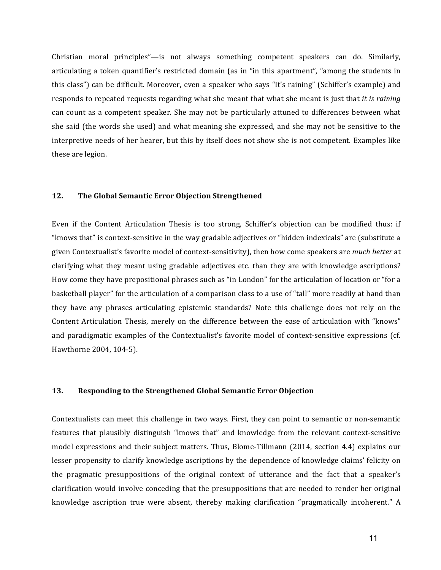Christian moral principles"—is not always something competent speakers can do. Similarly, articulating a token quantifier's restricted domain (as in "in this apartment", "among the students in this class") can be difficult. Moreover, even a speaker who says "It's raining" (Schiffer's example) and responds to repeated requests regarding what she meant that what she meant is just that *it is raining* can count as a competent speaker. She may not be particularly attuned to differences between what she said (the words she used) and what meaning she expressed, and she may not be sensitive to the interpretive needs of her hearer, but this by itself does not show she is not competent. Examples like these are legion.

#### **12. The Global Semantic Error Objection Strengthened**

Even if the Content Articulation Thesis is too strong, Schiffer's objection can be modified thus: if "knows that" is context-sensitive in the way gradable adjectives or "hidden indexicals" are (substitute a given Contextualist's favorite model of context-sensitivity), then how come speakers are *much better* at clarifying what they meant using gradable adjectives etc. than they are with knowledge ascriptions? How come they have prepositional phrases such as "in London" for the articulation of location or "for a basketball player" for the articulation of a comparison class to a use of "tall" more readily at hand than they have any phrases articulating epistemic standards? Note this challenge does not rely on the Content Articulation Thesis, merely on the difference between the ease of articulation with "knows" and paradigmatic examples of the Contextualist's favorite model of context-sensitive expressions (cf. Hawthorne 2004, 104-5).

#### **13. Responding to the Strengthened Global Semantic Error Objection**

Contextualists can meet this challenge in two ways. First, they can point to semantic or non-semantic features that plausibly distinguish "knows that" and knowledge from the relevant context-sensitive model expressions and their subject matters. Thus, Blome-Tillmann (2014, section 4.4) explains our lesser propensity to clarify knowledge ascriptions by the dependence of knowledge claims' felicity on the pragmatic presuppositions of the original context of utterance and the fact that a speaker's clarification would involve conceding that the presuppositions that are needed to render her original knowledge ascription true were absent, thereby making clarification "pragmatically incoherent." A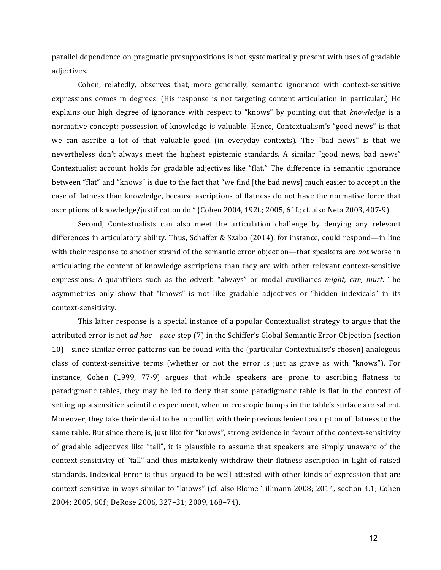parallel dependence on pragmatic presuppositions is not systematically present with uses of gradable adjectives.

Cohen, relatedly, observes that, more generally, semantic ignorance with context-sensitive expressions comes in degrees. (His response is not targeting content articulation in particular.) He explains our high degree of ignorance with respect to "knows" by pointing out that *knowledge* is a normative concept; possession of knowledge is valuable. Hence, Contextualism's "good news" is that we can ascribe a lot of that valuable good (in everyday contexts). The "bad news" is that we nevertheless don't always meet the highest epistemic standards. A similar "good news, bad news" Contextualist account holds for gradable adjectives like "flat." The difference in semantic ignorance between "flat" and "knows" is due to the fact that "we find [the bad news] much easier to accept in the case of flatness than knowledge, because ascriptions of flatness do not have the normative force that ascriptions of knowledge/justification do." (Cohen 2004, 192f.; 2005, 61f.; cf. also Neta 2003, 407-9)

Second, Contextualists can also meet the articulation challenge by denying any relevant differences in articulatory ability. Thus, Schaffer & Szabo (2014), for instance, could respond—in line with their response to another strand of the semantic error objection—that speakers are *not* worse in articulating the content of knowledge ascriptions than they are with other relevant context-sensitive expressions: A-quantifiers such as the *a*dverb "always" or modal *auxiliaries might, can, must*. The asymmetries only show that "knows" is not like gradable adjectives or "hidden indexicals" in its context-sensitivity. 

This latter response is a special instance of a popular Contextualist strategy to argue that the attributed error is not *ad hoc—pace* step (7) in the Schiffer's Global Semantic Error Objection (section 10)—since similar error patterns can be found with the (particular Contextualist's chosen) analogous class of context-sensitive terms (whether or not the error is just as grave as with "knows"). For instance, Cohen (1999, 77-9) argues that while speakers are prone to ascribing flatness to paradigmatic tables, they may be led to deny that some paradigmatic table is flat in the context of setting up a sensitive scientific experiment, when microscopic bumps in the table's surface are salient. Moreover, they take their denial to be in conflict with their previous lenient ascription of flatness to the same table. But since there is, just like for "knows", strong evidence in favour of the context-sensitivity of gradable adjectives like "tall", it is plausible to assume that speakers are simply unaware of the context-sensitivity of "tall" and thus mistakenly withdraw their flatness ascription in light of raised standards. Indexical Error is thus argued to be well-attested with other kinds of expression that are context-sensitive in ways similar to "knows" (cf. also Blome-Tillmann 2008; 2014, section 4.1; Cohen 2004; 2005, 60f.; DeRose 2006, 327-31; 2009, 168-74).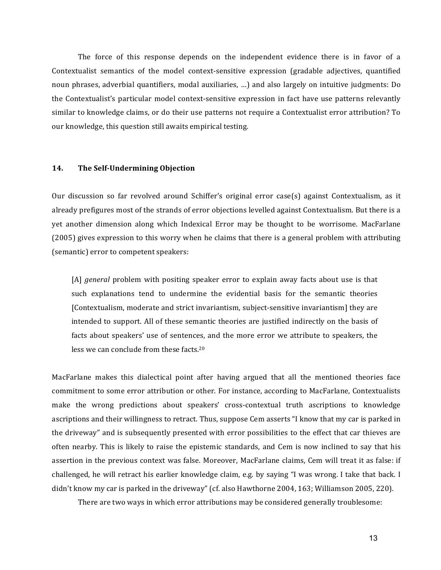The force of this response depends on the independent evidence there is in favor of a Contextualist semantics of the model context-sensitive expression (gradable adjectives, quantified noun phrases, adverbial quantifiers, modal auxiliaries, ...) and also largely on intuitive judgments: Do the Contextualist's particular model context-sensitive expression in fact have use patterns relevantly similar to knowledge claims, or do their use patterns not require a Contextualist error attribution? To our knowledge, this question still awaits empirical testing.

#### **14. The Self-Undermining Objection**

Our discussion so far revolved around Schiffer's original error case(s) against Contextualism, as it already prefigures most of the strands of error objections levelled against Contextualism. But there is a yet another dimension along which Indexical Error may be thought to be worrisome. MacFarlane (2005) gives expression to this worry when he claims that there is a general problem with attributing (semantic) error to competent speakers:

[A] *general* problem with positing speaker error to explain away facts about use is that such explanations tend to undermine the evidential basis for the semantic theories [Contextualism, moderate and strict invariantism, subject-sensitive invariantism] they are intended to support. All of these semantic theories are justified indirectly on the basis of facts about speakers' use of sentences, and the more error we attribute to speakers, the less we can conclude from these facts.<sup>20</sup>

MacFarlane makes this dialectical point after having argued that all the mentioned theories face commitment to some error attribution or other. For instance, according to MacFarlane, Contextualists make the wrong predictions about speakers' cross-contextual truth ascriptions to knowledge ascriptions and their willingness to retract. Thus, suppose Cem asserts "I know that my car is parked in the driveway" and is subsequently presented with error possibilities to the effect that car thieves are often nearby. This is likely to raise the epistemic standards, and Cem is now inclined to say that his assertion in the previous context was false. Moreover, MacFarlane claims, Cem will treat it as false: if challenged, he will retract his earlier knowledge claim, e.g. by saying "I was wrong. I take that back. I didn't know my car is parked in the driveway" (cf. also Hawthorne 2004, 163; Williamson 2005, 220).

There are two ways in which error attributions may be considered generally troublesome: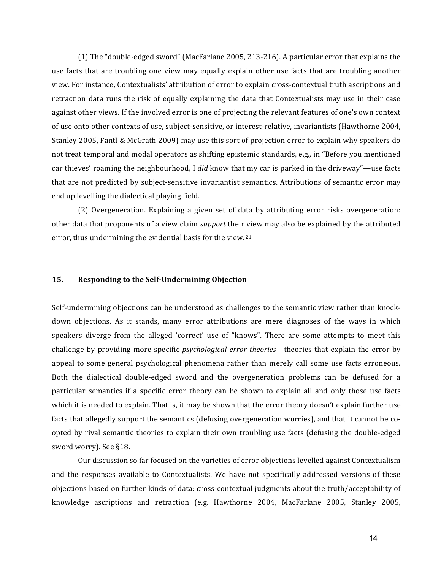$(1)$  The "double-edged sword" (MacFarlane 2005, 213-216). A particular error that explains the use facts that are troubling one view may equally explain other use facts that are troubling another view. For instance, Contextualists' attribution of error to explain cross-contextual truth ascriptions and retraction data runs the risk of equally explaining the data that Contextualists may use in their case against other views. If the involved error is one of projecting the relevant features of one's own context of use onto other contexts of use, subject-sensitive, or interest-relative, invariantists (Hawthorne 2004, Stanley 2005, Fantl & McGrath 2009) may use this sort of projection error to explain why speakers do not treat temporal and modal operators as shifting epistemic standards, e.g., in "Before you mentioned car thieves' roaming the neighbourhood, I *did* know that my car is parked in the driveway"—use facts that are not predicted by subject-sensitive invariantist semantics. Attributions of semantic error may end up levelling the dialectical playing field.

(2) Overgeneration. Explaining a given set of data by attributing error risks overgeneration: other data that proponents of a view claim *support* their view may also be explained by the attributed error, thus undermining the evidential basis for the view. <sup>21</sup>

#### **15. Responding to the Self-Undermining Objection**

Self-undermining objections can be understood as challenges to the semantic view rather than knockdown objections. As it stands, many error attributions are mere diagnoses of the ways in which speakers diverge from the alleged 'correct' use of "knows". There are some attempts to meet this challenge by providing more specific *psychological error theories*—theories that explain the error by appeal to some general psychological phenomena rather than merely call some use facts erroneous. Both the dialectical double-edged sword and the overgeneration problems can be defused for a particular semantics if a specific error theory can be shown to explain all and only those use facts which it is needed to explain. That is, it may be shown that the error theory doesn't explain further use facts that allegedly support the semantics (defusing overgeneration worries), and that it cannot be coopted by rival semantic theories to explain their own troubling use facts (defusing the double-edged sword worry). See §18.

Our discussion so far focused on the varieties of error objections levelled against Contextualism and the responses available to Contextualists. We have not specifically addressed versions of these objections based on further kinds of data: cross-contextual judgments about the truth/acceptability of knowledge ascriptions and retraction (e.g. Hawthorne 2004, MacFarlane 2005, Stanley 2005,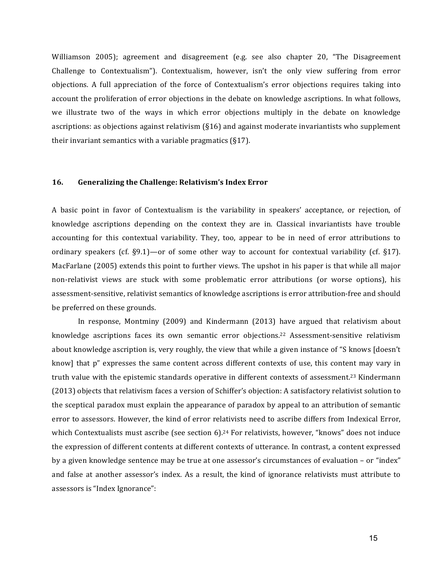Williamson 2005); agreement and disagreement  $(e.g. \text{ see also chapter 20, "The Disagreement"$ Challenge to Contextualism"). Contextualism, however, isn't the only view suffering from error objections. A full appreciation of the force of Contextualism's error objections requires taking into account the proliferation of error objections in the debate on knowledge ascriptions. In what follows, we illustrate two of the ways in which error objections multiply in the debate on knowledge ascriptions: as objections against relativism  $(S16)$  and against moderate invariantists who supplement their invariant semantics with a variable pragmatics  $(S17)$ .

## **16. Generalizing the Challenge: Relativism's Index Error**

A basic point in favor of Contextualism is the variability in speakers' acceptance, or rejection, of knowledge ascriptions depending on the context they are in. Classical invariantists have trouble accounting for this contextual variability. They, too, appear to be in need of error attributions to ordinary speakers (cf.  $\S$ 9.1)—or of some other way to account for contextual variability (cf.  $\S$ 17). MacFarlane (2005) extends this point to further views. The upshot in his paper is that while all major non-relativist views are stuck with some problematic error attributions (or worse options), his assessment-sensitive, relativist semantics of knowledge ascriptions is error attribution-free and should be preferred on these grounds.

In response, Montminy  $(2009)$  and Kindermann  $(2013)$  have argued that relativism about knowledge ascriptions faces its own semantic error objections.<sup>22</sup> Assessment-sensitive relativism about knowledge ascription is, very roughly, the view that while a given instance of "S knows [doesn't] know] that p" expresses the same content across different contexts of use, this content may vary in truth value with the epistemic standards operative in different contexts of assessment.<sup>23</sup> Kindermann (2013) objects that relativism faces a version of Schiffer's objection: A satisfactory relativist solution to the sceptical paradox must explain the appearance of paradox by appeal to an attribution of semantic error to assessors. However, the kind of error relativists need to ascribe differs from Indexical Error, which Contextualists must ascribe (see section  $6$ ).<sup>24</sup> For relativists, however, "knows" does not induce the expression of different contents at different contexts of utterance. In contrast, a content expressed by a given knowledge sentence may be true at one assessor's circumstances of evaluation – or "index" and false at another assessor's index. As a result, the kind of ignorance relativists must attribute to assessors is "Index Ignorance":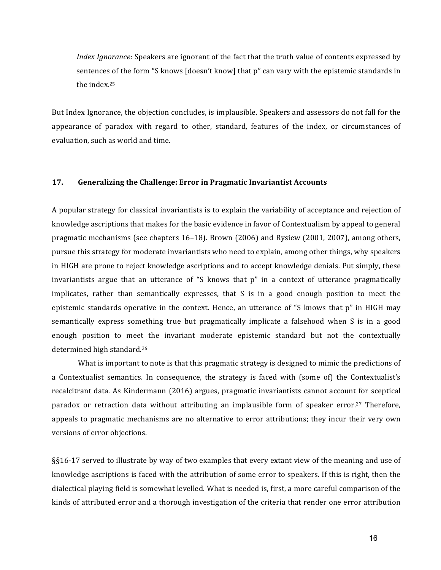*Index Ignorance*: Speakers are ignorant of the fact that the truth value of contents expressed by sentences of the form "S knows [doesn't know] that p" can vary with the epistemic standards in the index.<sup>25</sup>

But Index Ignorance, the objection concludes, is implausible. Speakers and assessors do not fall for the appearance of paradox with regard to other, standard, features of the index, or circumstances of evaluation, such as world and time.

## 17. Generalizing the Challenge: Error in Pragmatic Invariantist Accounts

A popular strategy for classical invariantists is to explain the variability of acceptance and rejection of knowledge ascriptions that makes for the basic evidence in favor of Contextualism by appeal to general pragmatic mechanisms (see chapters 16–18). Brown (2006) and Rysiew (2001, 2007), among others, pursue this strategy for moderate invariantists who need to explain, among other things, why speakers in HIGH are prone to reject knowledge ascriptions and to accept knowledge denials. Put simply, these invariantists argue that an utterance of "S knows that  $p$ " in a context of utterance pragmatically implicates, rather than semantically expresses, that S is in a good enough position to meet the epistemic standards operative in the context. Hence, an utterance of "S knows that  $p$ " in HIGH may semantically express something true but pragmatically implicate a falsehood when S is in a good enough position to meet the invariant moderate epistemic standard but not the contextually determined high standard.<sup>26</sup>

What is important to note is that this pragmatic strategy is designed to mimic the predictions of a Contextualist semantics. In consequence, the strategy is faced with (some of) the Contextualist's recalcitrant data. As Kindermann (2016) argues, pragmatic invariantists cannot account for sceptical paradox or retraction data without attributing an implausible form of speaker error.<sup>27</sup> Therefore, appeals to pragmatic mechanisms are no alternative to error attributions; they incur their very own versions of error objections.

§§16-17 served to illustrate by way of two examples that every extant view of the meaning and use of knowledge ascriptions is faced with the attribution of some error to speakers. If this is right, then the dialectical playing field is somewhat levelled. What is needed is, first, a more careful comparison of the kinds of attributed error and a thorough investigation of the criteria that render one error attribution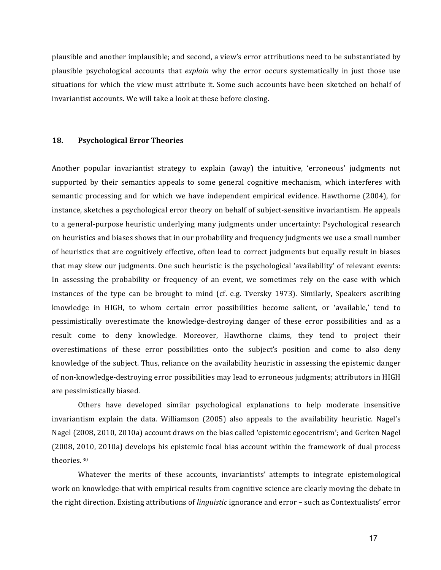plausible and another implausible; and second, a view's error attributions need to be substantiated by plausible psychological accounts that *explain* why the error occurs systematically in just those use situations for which the view must attribute it. Some such accounts have been sketched on behalf of invariantist accounts. We will take a look at these before closing.

#### **18. Psychological Error Theories**

Another popular invariantist strategy to explain (away) the intuitive, 'erroneous' judgments not supported by their semantics appeals to some general cognitive mechanism, which interferes with semantic processing and for which we have independent empirical evidence. Hawthorne (2004), for instance, sketches a psychological error theory on behalf of subject-sensitive invariantism. He appeals to a general-purpose heuristic underlying many judgments under uncertainty: Psychological research on heuristics and biases shows that in our probability and frequency judgments we use a small number of heuristics that are cognitively effective, often lead to correct judgments but equally result in biases that may skew our judgments. One such heuristic is the psychological 'availability' of relevant events: In assessing the probability or frequency of an event, we sometimes rely on the ease with which instances of the type can be brought to mind (cf. e.g. Tversky 1973). Similarly, Speakers ascribing knowledge in HIGH, to whom certain error possibilities become salient, or 'available,' tend to pessimistically overestimate the knowledge-destroying danger of these error possibilities and as a result come to deny knowledge. Moreover, Hawthorne claims, they tend to project their overestimations of these error possibilities onto the subject's position and come to also deny knowledge of the subject. Thus, reliance on the availability heuristic in assessing the epistemic danger of non-knowledge-destroying error possibilities may lead to erroneous judgments; attributors in HIGH are pessimistically biased.

Others have developed similar psychological explanations to help moderate insensitive invariantism explain the data. Williamson (2005) also appeals to the availability heuristic. Nagel's Nagel (2008, 2010, 2010a) account draws on the bias called 'epistemic egocentrism'; and Gerken Nagel (2008, 2010, 2010a) develops his epistemic focal bias account within the framework of dual process theories. <sup>30</sup>

Whatever the merits of these accounts, invariantists' attempts to integrate epistemological work on knowledge-that with empirical results from cognitive science are clearly moving the debate in the right direction. Existing attributions of *linguistic* ignorance and error – such as Contextualists' error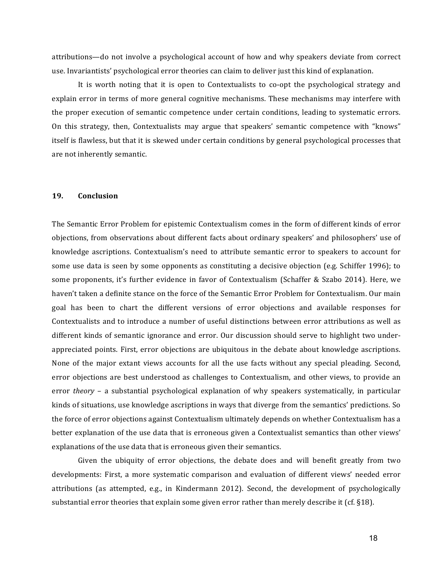attributions—do not involve a psychological account of how and why speakers deviate from correct use. Invariantists' psychological error theories can claim to deliver just this kind of explanation.

It is worth noting that it is open to Contextualists to co-opt the psychological strategy and explain error in terms of more general cognitive mechanisms. These mechanisms may interfere with the proper execution of semantic competence under certain conditions, leading to systematic errors. On this strategy, then, Contextualists may argue that speakers' semantic competence with "knows" itself is flawless, but that it is skewed under certain conditions by general psychological processes that are not inherently semantic.

#### **19. Conclusion**

The Semantic Error Problem for epistemic Contextualism comes in the form of different kinds of error objections, from observations about different facts about ordinary speakers' and philosophers' use of knowledge ascriptions. Contextualism's need to attribute semantic error to speakers to account for some use data is seen by some opponents as constituting a decisive objection (e.g. Schiffer 1996); to some proponents, it's further evidence in favor of Contextualism (Schaffer & Szabo 2014). Here, we haven't taken a definite stance on the force of the Semantic Error Problem for Contextualism. Our main goal has been to chart the different versions of error objections and available responses for Contextualists and to introduce a number of useful distinctions between error attributions as well as different kinds of semantic ignorance and error. Our discussion should serve to highlight two underappreciated points. First, error objections are ubiquitous in the debate about knowledge ascriptions. None of the major extant views accounts for all the use facts without any special pleading. Second, error objections are best understood as challenges to Contextualism, and other views, to provide an error *theory* – a substantial psychological explanation of why speakers systematically, in particular kinds of situations, use knowledge ascriptions in ways that diverge from the semantics' predictions. So the force of error objections against Contextualism ultimately depends on whether Contextualism has a better explanation of the use data that is erroneous given a Contextualist semantics than other views' explanations of the use data that is erroneous given their semantics.

Given the ubiquity of error objections, the debate does and will benefit greatly from two developments: First, a more systematic comparison and evaluation of different views' needed error attributions (as attempted, e.g., in Kindermann 2012). Second, the development of psychologically substantial error theories that explain some given error rather than merely describe it (cf.  $\S 18$ ).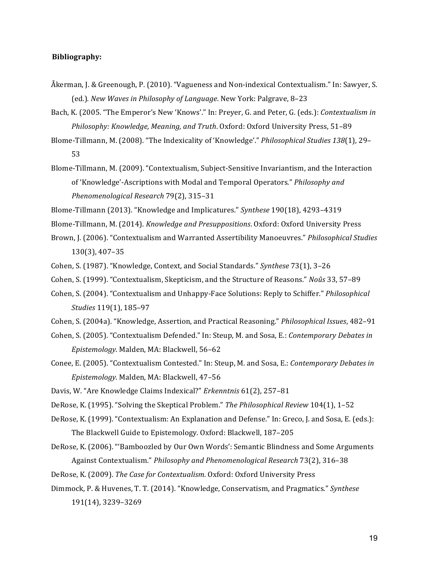#### **Bibliography:**

- Åkerman, J. & Greenough, P. (2010). "Vagueness and Non-indexical Contextualism." In: Sawyer, S. (ed.). *New Waves in Philosophy of Language*. New York: Palgrave, 8-23
- Bach, K. (2005. "The Emperor's New 'Knows'." In: Preyer, G. and Peter, G. (eds.): *Contextualism in* Philosophy: Knowledge, Meaning, and Truth. Oxford: Oxford University Press, 51-89
- Blome-Tillmann, M. (2008). "The Indexicality of 'Knowledge'." *Philosophical Studies* 138(1), 29– 53
- Blome-Tillmann, M. (2009). "Contextualism, Subject-Sensitive Invariantism, and the Interaction of 'Knowledge'-Ascriptions with Modal and Temporal Operators." *Philosophy and Phenomenological Research* 79(2), 315–31

Blome-Tillmann (2013). "Knowledge and Implicatures." Synthese 190(18), 4293-4319

- Blome-Tillmann, M. (2014). *Knowledge and Presuppositions*. Oxford: Oxford University Press
- Brown, J. (2006). "Contextualism and Warranted Assertibility Manoeuvres." *Philosophical Studies* 130(3), 407–35
- Cohen, S. (1987). "Knowledge, Context, and Social Standards." *Synthese* 73(1), 3-26
- Cohen, S. (1999). "Contextualism, Skepticism, and the Structure of Reasons." *Noûs* 33, 57-89
- Cohen, S. (2004). "Contextualism and Unhappy-Face Solutions: Reply to Schiffer." *Philosophical Studies* 119(1), 185–97
- Cohen, S. (2004a). "Knowledge, Assertion, and Practical Reasoning." *Philosophical Issues*, 482-91
- Cohen, S. (2005). "Contextualism Defended." In: Steup, M. and Sosa, E.: Contemporary Debates in *Epistemology*. Malden, MA: Blackwell, 56–62
- Conee, E. (2005). "Contextualism Contested." In: Steup, M. and Sosa, E.: *Contemporary Debates in Epistemology*. Malden, MA: Blackwell, 47–56
- Davis, W. "Are Knowledge Claims Indexical?" *Erkenntnis* 61(2), 257-81
- DeRose, K. (1995). "Solving the Skeptical Problem." *The Philosophical Review* 104(1), 1–52
- DeRose, K. (1999). "Contextualism: An Explanation and Defense." In: Greco, J. and Sosa, E. (eds.): The Blackwell Guide to Epistemology. Oxford: Blackwell, 187-205
- DeRose, K. (2006). "'Bamboozled by Our Own Words': Semantic Blindness and Some Arguments Against Contextualism." *Philosophy and Phenomenological Research* 73(2), 316-38
- DeRose, K. (2009). *The Case for Contextualism.* Oxford: Oxford University Press
- Dimmock, P. & Huvenes, T. T. (2014). "Knowledge, Conservatism, and Pragmatics." *Synthese* 191(14), 3239-3269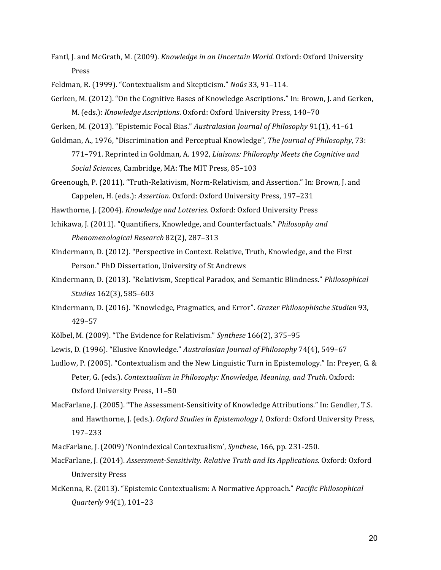- Fantl, J. and McGrath, M. (2009). *Knowledge in an Uncertain World.* Oxford: Oxford University Press
- Feldman, R. (1999). "Contextualism and Skepticism." *Noûs* 33, 91-114.
- Gerken, M. (2012). "On the Cognitive Bases of Knowledge Ascriptions." In: Brown, J. and Gerken, M. (eds.): *Knowledge Ascriptions*. Oxford: Oxford University Press, 140-70
- Gerken, M. (2013). "Epistemic Focal Bias." Australasian Journal of Philosophy 91(1), 41-61
- Goldman, A., 1976, "Discrimination and Perceptual Knowledge", *The Journal of Philosophy*, 73: 771-791. Reprinted in Goldman, A. 1992, *Liaisons: Philosophy Meets the Cognitive and* Social Sciences, Cambridge, MA: The MIT Press, 85-103
- Greenough, P. (2011). "Truth-Relativism, Norm-Relativism, and Assertion." In: Brown, J. and Cappelen, H. (eds.): *Assertion*. Oxford: Oxford University Press, 197-231

Hawthorne, J. (2004). *Knowledge and Lotteries*. Oxford: Oxford University Press

- Ichikawa, J. (2011). "Quantifiers, Knowledge, and Counterfactuals." *Philosophy and Phenomenological Research* 82(2), 287–313
- Kindermann, D. (2012). "Perspective in Context. Relative, Truth, Knowledge, and the First Person." PhD Dissertation, University of St Andrews
- Kindermann, D. (2013). "Relativism, Sceptical Paradox, and Semantic Blindness." *Philosophical Studies* 162(3), 585–603
- Kindermann, D. (2016). "Knowledge, Pragmatics, and Error". *Grazer Philosophische Studien* 93, 429–57
- Kölbel, M. (2009). "The Evidence for Relativism." Synthese 166(2), 375-95
- Lewis, D. (1996). "Elusive Knowledge." *Australasian Journal of Philosophy* 74(4), 549-67
- Ludlow, P. (2005). "Contextualism and the New Linguistic Turn in Epistemology." In: Preyer, G. & Peter, G. (eds.). *Contextualism in Philosophy: Knowledge, Meaning, and Truth*. Oxford: Oxford University Press, 11-50
- MacFarlane, J. (2005). "The Assessment-Sensitivity of Knowledge Attributions." In: Gendler, T.S. and Hawthorne, J. (eds.). Oxford Studies in Epistemology I, Oxford: Oxford University Press, 197–233
- MacFarlane, J. (2009) 'Nonindexical Contextualism', *Synthese*, 166, pp. 231-250.
- MacFarlane, J. (2014). *Assessment-Sensitivity. Relative Truth and Its Applications*. Oxford: Oxford University Press
- McKenna, R. (2013). "Epistemic Contextualism: A Normative Approach." *Pacific Philosophical Quarterly* 94(1), 101–23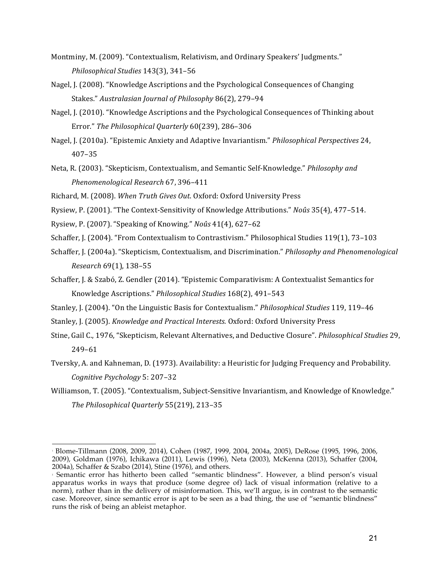- Montminy, M. (2009). "Contextualism, Relativism, and Ordinary Speakers' Judgments." *Philosophical Studies* 143(3), 341–56
- Nagel, J. (2008). "Knowledge Ascriptions and the Psychological Consequences of Changing Stakes." Australasian Journal of Philosophy 86(2), 279-94
- Nagel, J. (2010). "Knowledge Ascriptions and the Psychological Consequences of Thinking about Error." The Philosophical Quarterly 60(239), 286-306
- Nagel, J. (2010a). "Epistemic Anxiety and Adaptive Invariantism." *Philosophical Perspectives* 24, 407–35
- Neta, R. (2003). "Skepticism, Contextualism, and Semantic Self-Knowledge." *Philosophy and Phenomenological Research* 67, 396–411
- Richard, M. (2008). When Truth Gives Out. Oxford: Oxford University Press
- Rysiew, P. (2001). "The Context-Sensitivity of Knowledge Attributions." *Noûs* 35(4), 477-514.
- Rysiew, P. (2007). "Speaking of Knowing." *Noûs* 41(4), 627–62
- Schaffer, J. (2004). "From Contextualism to Contrastivism." Philosophical Studies 119(1), 73-103
- Schaffer, J. (2004a). "Skepticism, Contextualism, and Discrimination." *Philosophy and Phenomenological Research* 69(1), 138–55
- Schaffer, J. & Szabó, Z. Gendler (2014). "Epistemic Comparativism: A Contextualist Semantics for Knowledge Ascriptions." *Philosophical Studies* 168(2), 491–543
- Stanley, J. (2004). "On the Linguistic Basis for Contextualism." *Philosophical Studies* 119, 119–46
- Stanley, J. (2005). *Knowledge and Practical Interests.* Oxford: Oxford University Press
- Stine, Gail C., 1976, "Skepticism, Relevant Alternatives, and Deductive Closure". *Philosophical Studies* 29, 249–61
- Tversky, A. and Kahneman, D. (1973). Availability: a Heuristic for Judging Frequency and Probability. *Cognitive Psychology* 5: 207–32
- Williamson, T. (2005). "Contextualism, Subject-Sensitive Invariantism, and Knowledge of Knowledge." *The Philosophical Quarterly* 55(219), 213–35

<sup>1</sup> <sup>1</sup> Blome-Tillmann (2008, 2009, 2014), Cohen (1987, 1999, 2004, 2004a, 2005), DeRose (1995, 1996, 2006, 2009), Goldman (1976), Ichikawa (2011), Lewis (1996), Neta (2003), McKenna (2013), Schaffer (2004, 2004a), Schaffer & Szabo (2014), Stine (1976), and others.

<sup>2</sup> Semantic error has hitherto been called "semantic blindness". However, a blind person's visual apparatus works in ways that produce (some degree of) lack of visual information (relative to a norm), rather than in the delivery of misinformation. This, we'll argue, is in contrast to the semantic case. Moreover, since semantic error is apt to be seen as a bad thing, the use of "semantic blindness" runs the risk of being an ableist metaphor.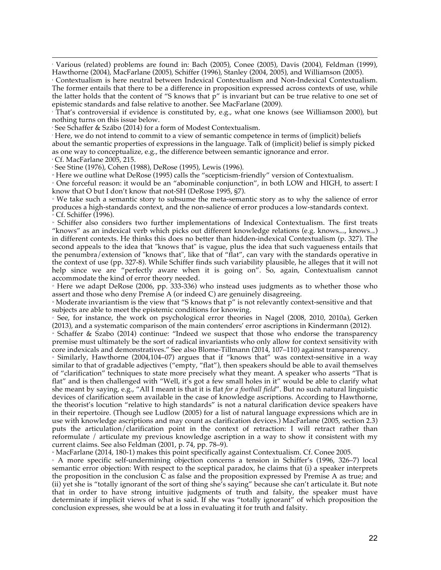1 <sup>3</sup> Various (related) problems are found in: Bach (2005), Conee (2005), Davis (2004), Feldman (1999), Hawthorne (2004), MacFarlane (2005), Schiffer (1996), Stanley (2004, 2005), and Williamson (2005).

Hawthorne (2004), MacFarlane (2005), Schiffer (1996), Stanley (2004, 2005), and Williamson (2005). 4 Contextualism is here neutral between Indexical Contextualism and Non-Indexical Contextualism. The former entails that there to be a difference in proposition expressed across contexts of use, while the latter holds that the content of "S knows that  $\hat{p}$ " is invariant but can be true relative to one set of epistemic standards and false relative to another. See MacFarlane (2009).

<sup>5</sup> That's controversial if evidence is constituted by, e.g., what one knows (see Williamson 2000), but nothing turns on this issue below.

<sup>6</sup> See Schaffer & Szábo (2014) for a form of Modest Contextualism.

<sup>7</sup> Here, we do not intend to commit to a view of semantic competence in terms of (implicit) beliefs about the semantic properties of expressions in the language. Talk of (implicit) belief is simply picked as one way to conceptualize, e.g., the difference between semantic ignorance and error. <sup>8</sup> Cf. MacFarlane 2005, 215.

See Stine (1976), Cohen (1988), DeRose (1995), Lewis (1996).<br>• Here we outline what DeRose (1995) calls the "scepticism-friendly" version of Contextualism.

" One forceful reason: it would be an "abominable conjunction", in both LOW and HIGH, to assert: I know that O but I don't know that not-SH (DeRose 1995, §7).

<sup>12</sup> We take such a semantic story to subsume the meta-semantic story as to why the salience of error produces a high-standards context, and the non-salience of error produces a low-standards context. <sup>13</sup> Cf. Schiffer (1996).

<sup>14</sup> Schiffer also considers two further implementations of Indexical Contextualism. The first treats "knows" as an indexical verb which picks out different knowledge relations (e.g. knows in different contexts. He thinks this does no better than hidden-indexical Contextualism (p. 327). The second appeals to the idea that "knows that" is vague, plus the idea that such vagueness entails that the penumbra/extension of "knows that", like that of "flat", can vary with the standards operative in the context of use (pp. 327-8). While Schiffer finds such variability plausible, he alleges that it will not help since we are "perfectly aware when it is going on". So, again, Contextualism cannot accommodate the kind of error theory needed.

<sup>15</sup> Here we adapt DeRose (2006, pp. 333-336) who instead uses judgments as to whether those who assert and those who deny Premise A (or indeed C) are genuinely disagreeing.<br> $\cdot$  Moderate invariantism is the view that "S knows that p" is not relevantly context-sensitive and that

subjects are able to meet the epistemic conditions for knowing.

<sup>1</sup> See, for instance, the work on psychological error theories in Nagel (2008, 2010, 2010a), Gerken (2013), and a systematic comparison of the main contenders' error ascriptions in Kindermann (2012).

 $\bullet$  Schaffer & Szabo (2014) continue: "Indeed we suspect that those who endorse the transparency premise must ultimately be the sort of radical invariantists who only allow for context sensitivity with core indexicals and demonstratives." See also Blome-Tillmann (2014, 107–110) against transparency.

<sup>19</sup> Similarly, Hawthorne (2004,104–07) argues that if "knows that" was context-sensitive in a way similar to that of gradable adjectives ("empty, "flat"), then speakers should be able to avail themselves of "clarification" techniques to state more precisely what they meant. A speaker who asserts "That is flat" and is then challenged with "Well, it's got a few small holes in it" would be able to clarify what she meant by saying, e.g., "All I meant is that it is flat *for a football field*". But no such natural linguistic devices of clarification seem available in the case of knowledge ascriptions. According to Hawthorne, the theorist's locution "relative to high standards" is not a natural clarification device speakers have in their repertoire. (Though see Ludlow (2005) for a list of natural language expressions which are in use with knowledge ascriptions and may count as clarification devices.) MacFarlane (2005, section 2.3) puts the articulation/clarification point in the context of retraction: I will retract rather than reformulate / articulate my previous knowledge ascription in a way to show it consistent with my current claims. See also Feldman (2001, p. 74, pp. 78–9).

<sup>20</sup> MacFarlane (2014, 180-1) makes this point specifically against Contextualism. Cf. Conee 2005.

<sup>21</sup> A more specific self-undermining objection concerns a tension in Schiffer's (1996, 326–7) local semantic error objection: With respect to the sceptical paradox, he claims that (i) a speaker interprets the proposition in the conclusion  $\tilde{C}$  as false and the proposition expressed by Premise A as true; and (ii) yet she is "totally ignorant of the sort of thing she's saying" because she can't articulate it. But note that in order to have strong intuitive judgments of truth and falsity, the speaker must have determinate if implicit views of what is said. If she was "totally ignorant" of which proposition the conclusion expresses, she would be at a loss in evaluating it for truth and falsity.